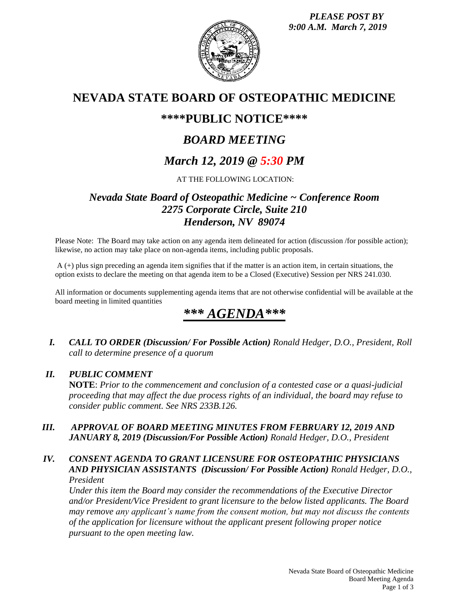*PLEASE POST BY 9:00 A.M. March 7, 2019*



# **NEVADA STATE BOARD OF OSTEOPATHIC MEDICINE**

# **\*\*\*\*PUBLIC NOTICE\*\*\*\***

# *BOARD MEETING*

# *March 12, 2019 @ 5:30 PM*

AT THE FOLLOWING LOCATION:

# *Nevada State Board of Osteopathic Medicine ~ Conference Room 2275 Corporate Circle, Suite 210 Henderson, NV 89074*

Please Note: The Board may take action on any agenda item delineated for action (discussion /for possible action); likewise, no action may take place on non-agenda items, including public proposals.

A (+) plus sign preceding an agenda item signifies that if the matter is an action item, in certain situations, the option exists to declare the meeting on that agenda item to be a Closed (Executive) Session per NRS 241.030.

All information or documents supplementing agenda items that are not otherwise confidential will be available at the board meeting in limited quantities

# *\*\*\* AGENDA\*\*\**

*I. CALL TO ORDER (Discussion/ For Possible Action) Ronald Hedger, D.O., President, Roll call to determine presence of a quorum*

## *II. PUBLIC COMMENT*

**NOTE**: *Prior to the commencement and conclusion of a contested case or a quasi-judicial proceeding that may affect the due process rights of an individual, the board may refuse to consider public comment. See NRS 233B.126.*

## *III. APPROVAL OF BOARD MEETING MINUTES FROM FEBRUARY 12, 2019 AND JANUARY 8, 2019 (Discussion/For Possible Action) Ronald Hedger, D.O., President*

### *IV. CONSENT AGENDA TO GRANT LICENSURE FOR OSTEOPATHIC PHYSICIANS AND PHYSICIAN ASSISTANTS (Discussion/ For Possible Action) Ronald Hedger, D.O., President*

*Under this item the Board may consider the recommendations of the Executive Director and/or President/Vice President to grant licensure to the below listed applicants. The Board may remove any applicant's name from the consent motion, but may not discuss the contents of the application for licensure without the applicant present following proper notice pursuant to the open meeting law.*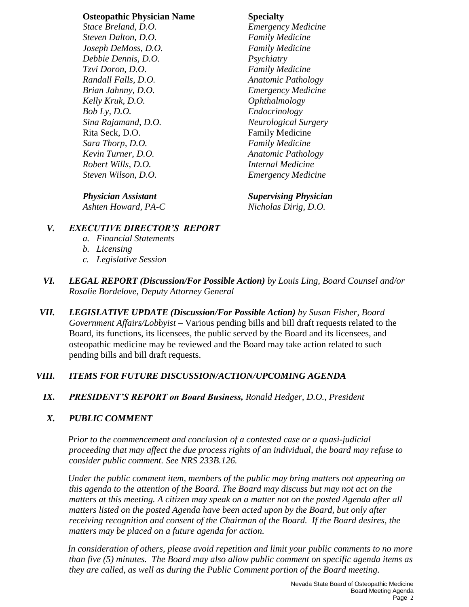#### **Osteopathic Physician Name Specialty**

*Stace Breland, D.O. Emergency Medicine Steven Dalton, D.O. Family Medicine Joseph DeMoss, D.O. Family Medicine Debbie Dennis, D.O. Psychiatry Tzvi Doron, D.O. Family Medicine Randall Falls, D.O. Anatomic Pathology Brian Jahnny, D.O. Emergency Medicine Kelly Kruk, D.O. Ophthalmology Bob Ly, D.O. Endocrinology Sina Rajamand, D.O. Neurological Surgery* Rita Seck, D.O. **Family Medicine** *Sara Thorp, D.O. Family Medicine Kevin Turner, D.O. Anatomic Pathology Robert Wills, D.O. Internal Medicine Steven Wilson, D.O. Emergency Medicine*

*Ashten Howard, PA-C Nicholas Dirig, D.O.*

*Physician Assistant Supervising Physician*

## *V. EXECUTIVE DIRECTOR'S REPORT*

- *a. Financial Statements*
- *b. Licensing*
- *c. Legislative Session*
- *VI. LEGAL REPORT (Discussion/For Possible Action) by Louis Ling, Board Counsel and/or Rosalie Bordelove, Deputy Attorney General*
- *VII. LEGISLATIVE UPDATE (Discussion/For Possible Action) by Susan Fisher, Board Government Affairs/Lobbyist* – Various pending bills and bill draft requests related to the Board, its functions, its licensees, the public served by the Board and its licensees, and osteopathic medicine may be reviewed and the Board may take action related to such pending bills and bill draft requests.

# *VIII. ITEMS FOR FUTURE DISCUSSION/ACTION/UPCOMING AGENDA*

*IX. PRESIDENT'S REPORT on Board Business, Ronald Hedger, D.O., President*

## *X. PUBLIC COMMENT*

*Prior to the commencement and conclusion of a contested case or a quasi-judicial proceeding that may affect the due process rights of an individual, the board may refuse to consider public comment. See NRS 233B.126.*

*Under the public comment item, members of the public may bring matters not appearing on this agenda to the attention of the Board. The Board may discuss but may not act on the matters at this meeting. A citizen may speak on a matter not on the posted Agenda after all matters listed on the posted Agenda have been acted upon by the Board, but only after receiving recognition and consent of the Chairman of the Board. If the Board desires, the matters may be placed on a future agenda for action.*

*In consideration of others, please avoid repetition and limit your public comments to no more than five (5) minutes. The Board may also allow public comment on specific agenda items as they are called, as well as during the Public Comment portion of the Board meeting.*